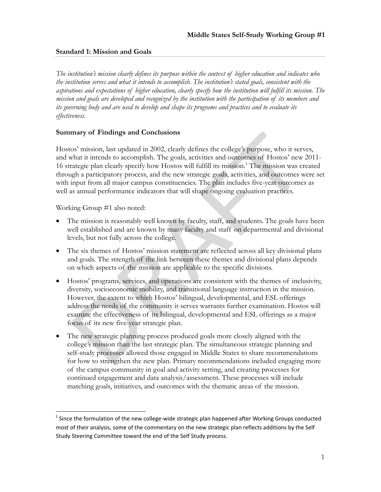# **Standard 1: Mission and Goals**

*The institution's mission clearly defines its purpose within the context of higher education and indicates who the institution serves and what it intends to accomplish. The institution's stated goals, consistent with the aspirations and expectations of higher education, clearly specify how the institution will fulfill its mission. The mission and goals are developed and recognized by the institution with the participation of its members and its governing body and are used to develop and shape its programs and practices and to evaluate its effectiveness.* 

## **Summary of Findings and Conclusions**

Hostos' mission, last updated in 2002, clearly defines the college's purpose, who it serves, and what it intends to accomplish. The goals, activities and outcomes of Hostos' new 2011- 16 strategic plan clearly specify how Hostos will fulfill its mission.<sup>1</sup> The mission was created through a participatory process, and the new strategic goals, activities, and outcomes were set with input from all major campus constituencies. The plan includes five-year outcomes as well as annual performance indicators that will shape ongoing evaluation practices.

Working Group #1 also noted:

- The mission is reasonably well known by faculty, staff, and students. The goals have been well established and are known by many faculty and staff on departmental and divisional levels, but not fully across the college.
- The six themes of Hostos' mission statement are reflected across all key divisional plans and goals. The strength of the link between these themes and divisional plans depends on which aspects of the mission are applicable to the specific divisions.
- Hostos' programs, services, and operations are consistent with the themes of inclusivity, diversity, socioeconomic mobility, and transitional language instruction in the mission. However, the extent to which Hostos' bilingual, developmental, and ESL offerings address the needs of the community it serves warrants further examination. Hostos will examine the effectiveness of its bilingual, developmental and ESL offerings as a major focus of its new five-year strategic plan.
- The new strategic planning process produced goals more closely aligned with the college's mission than the last strategic plan. The simultaneous strategic planning and self-study processes allowed those engaged in Middle States to share recommendations for how to strengthen the new plan. Primary recommendations included engaging more of the campus community in goal and activity setting, and creating processes for continued engagement and data analysis/assessment. These processes will include matching goals, initiatives, and outcomes with the thematic areas of the mission.

<sup>&</sup>lt;sup>1</sup> Since the formulation of the new college-wide strategic plan happened after Working Groups conducted most of their analysis, some of the commentary on the new strategic plan reflects additions by the Self Study Steering Committee toward the end of the Self Study process.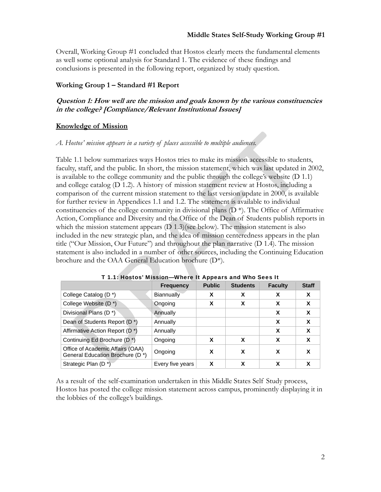Overall, Working Group #1 concluded that Hostos clearly meets the fundamental elements as well some optional analysis for Standard 1. The evidence of these findings and conclusions is presented in the following report, organized by study question.

#### **Working Group 1 – Standard #1 Report**

# **Question 1: How well are the mission and goals known by the various constituencies in the college? [Compliance/Relevant Institutional Issues]**

#### **Knowledge of Mission**

#### *A. Hostos' mission appears in a variety of places accessible to multiple audiences.*

Table 1.1 below summarizes ways Hostos tries to make its mission accessible to students, faculty, staff, and the public. In short, the mission statement, which was last updated in 2002, is available to the college community and the public through the college's website (D 1.1) and college catalog (D 1.2). A history of mission statement review at Hostos, including a comparison of the current mission statement to the last version update in 2000, is available for further review in Appendices 1.1 and 1.2. The statement is available to individual constituencies of the college community in divisional plans  $(D^*)$ . The Office of Affirmative Action, Compliance and Diversity and the Office of the Dean of Students publish reports in which the mission statement appears (D 1.3)(see below). The mission statement is also included in the new strategic plan, and the idea of mission centeredness appears in the plan title ("Our Mission, Our Future") and throughout the plan narrative (D 1.4). The mission statement is also included in a number of other sources, including the Continuing Education brochure and the OAA General Education brochure (D\*).

|                                                                     | <b>Frequency</b>  | <b>Public</b> | <b>Students</b> | <b>Faculty</b> | <b>Staff</b> |
|---------------------------------------------------------------------|-------------------|---------------|-----------------|----------------|--------------|
| College Catalog (D <sup>*</sup> )                                   | <b>Biannually</b> | X             | X               | x              | X            |
| College Website (D <sup>*</sup> )                                   | Ongoing           | X             | X               | X              | X            |
| Divisional Plans (D <sup>*</sup> )                                  | Annually          |               |                 | x              | X            |
| Dean of Students Report (D *)                                       | Annually          |               |                 | X              | X            |
| Affirmative Action Report (D <sup>*</sup> )                         | Annually          |               |                 | X              | X            |
| Continuing Ed Brochure (D <sup>*</sup> )                            | Ongoing           | X             | X               | x              | X            |
| Office of Academic Affairs (OAA)<br>General Education Brochure (D*) | Ongoing           | X             | X               | x              | х            |
| Strategic Plan (D <sup>*</sup> )                                    | Every five years  | x             | x               | x              | X            |

#### T 1.1: Hostos' Mission—Where It Appears and Who Sees It

As a result of the self-examination undertaken in this Middle States Self Study process, Hostos has posted the college mission statement across campus, prominently displaying it in the lobbies of the college's buildings.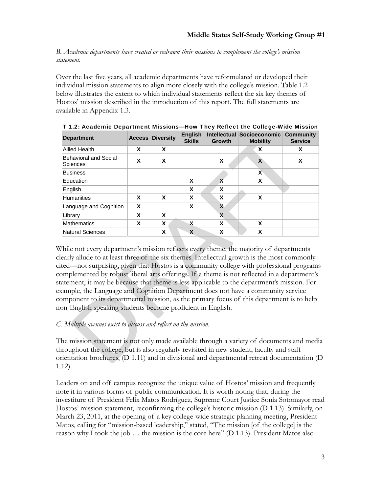*B. Academic departments have created or redrawn their missions to complement the college's mission statement.* 

Over the last five years, all academic departments have reformulated or developed their individual mission statements to align more closely with the college's mission. Table 1.2 below illustrates the extent to which individual statements reflect the six key themes of Hostos' mission described in the introduction of this report. The full statements are available in Appendix 1.3.

| <b>Department</b>                 | <b>Access</b> | <b>Diversity</b> | <b>English</b><br><b>Skills</b> | <b>Growth</b> | Intellectual Socioeconomic Community<br><b>Mobility</b> | <b>Service</b> |
|-----------------------------------|---------------|------------------|---------------------------------|---------------|---------------------------------------------------------|----------------|
| <b>Allied Health</b>              | X             | X                |                                 |               | X                                                       | X              |
| Behavioral and Social<br>Sciences | X             | X                |                                 | X             | X                                                       | X              |
| <b>Business</b>                   |               |                  |                                 |               | $\mathsf{X}$                                            |                |
| Education                         |               |                  | X                               | X             | X                                                       |                |
| English                           |               |                  | X                               | X             |                                                         |                |
| <b>Humanities</b>                 | X             | X                | X                               | X             | X                                                       |                |
| Language and Cognition            | X             |                  | X                               | X             |                                                         |                |
| Library                           | X             | X                |                                 | X             |                                                         |                |
| <b>Mathematics</b>                | x             | X                | X                               | X             | X                                                       |                |
| <b>Natural Sciences</b>           |               | X                | X                               | X             | X                                                       |                |

T 1.2: Academic Department Missions—How They Reflect the College-Wide Mission

While not every department's mission reflects every theme, the majority of departments clearly allude to at least three of the six themes. Intellectual growth is the most commonly cited—not surprising, given that Hostos is a community college with professional programs complemented by robust liberal arts offerings. If a theme is not reflected in a department's statement, it may be because that theme is less applicable to the department's mission. For example, the Language and Cognition Department does not have a community service component to its departmental mission, as the primary focus of this department is to help non-English speaking students become proficient in English.

# *C. Multiple avenues exist to discuss and reflect on the mission.*

The mission statement is not only made available through a variety of documents and media throughout the college, but is also regularly revisited in new student, faculty and staff orientation brochures, (D 1.11) and in divisional and departmental retreat documentation (D 1.12).

Leaders on and off campus recognize the unique value of Hostos' mission and frequently note it in various forms of public communication. It is worth noting that, during the investiture of President Felix Matos Rodríguez, Supreme Court Justice Sonia Sotomayor read Hostos' mission statement, reconfirming the college's historic mission (D 1.13). Similarly, on March 23, 2011, at the opening of a key college-wide strategic planning meeting, President Matos, calling for "mission-based leadership," stated, "The mission [of the college] is the reason why I took the job … the mission is the core here" (D 1.13). President Matos also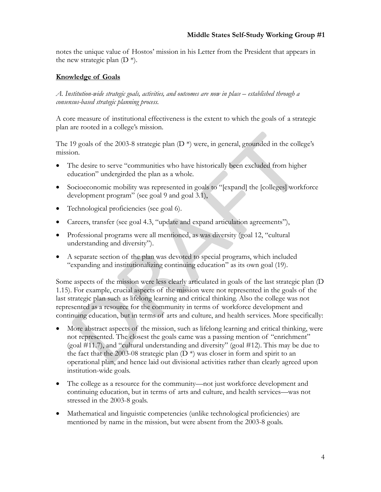notes the unique value of Hostos' mission in his Letter from the President that appears in the new strategic plan  $(D^*)$ .

# **Knowledge of Goals**

*A. Institution-wide strategic goals, activities, and outcomes are now in place – established through a consensus-based strategic planning process.* 

A core measure of institutional effectiveness is the extent to which the goals of a strategic plan are rooted in a college's mission.

The 19 goals of the 2003-8 strategic plan  $(D^*)$  were, in general, grounded in the college's mission.

- The desire to serve "communities who have historically been excluded from higher education" undergirded the plan as a whole.
- Socioeconomic mobility was represented in goals to "[expand] the [colleges] workforce development program" (see goal 9 and goal 3.1),
- Technological proficiencies (see goal 6).
- Careers, transfer (see goal 4.3, "update and expand articulation agreements"),
- Professional programs were all mentioned, as was diversity (goal 12, "cultural understanding and diversity").
- A separate section of the plan was devoted to special programs, which included "expanding and institutionalizing continuing education" as its own goal (19).

Some aspects of the mission were less clearly articulated in goals of the last strategic plan (D 1.15). For example, crucial aspects of the mission were not represented in the goals of the last strategic plan such as lifelong learning and critical thinking. Also the college was not represented as a resource for the community in terms of workforce development and continuing education, but in terms of arts and culture, and health services. More specifically:

- More abstract aspects of the mission, such as lifelong learning and critical thinking, were not represented. The closest the goals came was a passing mention of "enrichment" (goal #11.7), and "cultural understanding and diversity" (goal #12). This may be due to the fact that the 2003-08 strategic plan  $(D^*)$  was closer in form and spirit to an operational plan, and hence laid out divisional activities rather than clearly agreed upon institution-wide goals.
- The college as a resource for the community—not just workforce development and continuing education, but in terms of arts and culture, and health services—was not stressed in the 2003-8 goals.
- Mathematical and linguistic competencies (unlike technological proficiencies) are mentioned by name in the mission, but were absent from the 2003-8 goals.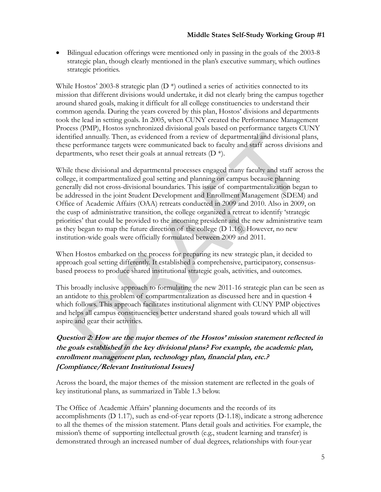Bilingual education offerings were mentioned only in passing in the goals of the 2003-8 strategic plan, though clearly mentioned in the plan's executive summary, which outlines strategic priorities.

While Hostos' 2003-8 strategic plan  $(D^*)$  outlined a series of activities connected to its mission that different divisions would undertake, it did not clearly bring the campus together around shared goals, making it difficult for all college constituencies to understand their common agenda. During the years covered by this plan, Hostos' divisions and departments took the lead in setting goals. In 2005, when CUNY created the Performance Management Process (PMP), Hostos synchronized divisional goals based on performance targets CUNY identified annually. Then, as evidenced from a review of departmental and divisional plans, these performance targets were communicated back to faculty and staff across divisions and departments, who reset their goals at annual retreats (D \*).

While these divisional and departmental processes engaged many faculty and staff across the college, it compartmentalized goal setting and planning on campus because planning generally did not cross-divisional boundaries. This issue of compartmentalization began to be addressed in the joint Student Development and Enrollment Management (SDEM) and Office of Academic Affairs (OAA) retreats conducted in 2009 and 2010. Also in 2009, on the cusp of administrative transition, the college organized a retreat to identify 'strategic priorities' that could be provided to the incoming president and the new administrative team as they began to map the future direction of the college (D 1.16). However, no new institution-wide goals were officially formulated between 2009 and 2011.

When Hostos embarked on the process for preparing its new strategic plan, it decided to approach goal setting differently. It established a comprehensive, participatory, consensusbased process to produce shared institutional strategic goals, activities, and outcomes.

This broadly inclusive approach to formulating the new 2011-16 strategic plan can be seen as an antidote to this problem of compartmentalization as discussed here and in question 4 which follows. This approach facilitates institutional alignment with CUNY PMP objectives and helps all campus constituencies better understand shared goals toward which all will aspire and gear their activities.

# **Question 2: How are the major themes of the Hostos' mission statement reflected in the goals established in the key divisional plans? For example, the academic plan, enrollment management plan, technology plan, financial plan, etc.? [Compliance/Relevant Institutional Issues]**

Across the board, the major themes of the mission statement are reflected in the goals of key institutional plans, as summarized in Table 1.3 below.

The Office of Academic Affairs' planning documents and the records of its accomplishments (D 1.17), such as end-of-year reports (D-1.18), indicate a strong adherence to all the themes of the mission statement. Plans detail goals and activities. For example, the mission's theme of supporting intellectual growth (e.g., student learning and transfer) is demonstrated through an increased number of dual degrees, relationships with four-year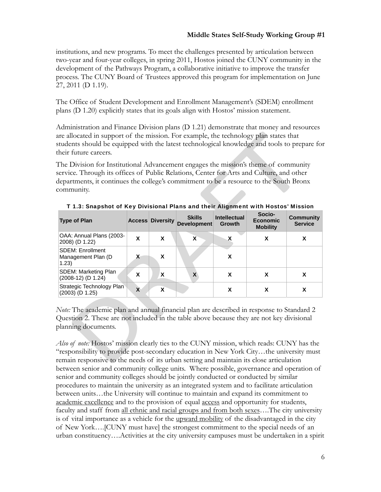institutions, and new programs. To meet the challenges presented by articulation between two-year and four-year colleges, in spring 2011, Hostos joined the CUNY community in the development of the Pathways Program, a collaborative initiative to improve the transfer process. The CUNY Board of Trustees approved this program for implementation on June 27, 2011 (D 1.19).

The Office of Student Development and Enrollment Management's (SDEM) enrollment plans (D 1.20) explicitly states that its goals align with Hostos' mission statement.

Administration and Finance Division plans (D 1.21) demonstrate that money and resources are allocated in support of the mission. For example, the technology plan states that students should be equipped with the latest technological knowledge and tools to prepare for their future careers.

The Division for Institutional Advancement engages the mission's theme of community service. Through its offices of Public Relations, Center for Arts and Culture, and other departments, it continues the college's commitment to be a resource to the South Bronx community.

| <b>Type of Plan</b>                                    |   | <b>Access Diversity</b> | <b>Skills</b><br><b>Development</b> | <b>Intellectual</b><br><b>Growth</b> | Socio-<br><b>Economic</b><br><b>Mobility</b> | Community<br><b>Service</b> |
|--------------------------------------------------------|---|-------------------------|-------------------------------------|--------------------------------------|----------------------------------------------|-----------------------------|
| OAA: Annual Plans (2003-<br>2008) (D 1.22)             | x | X                       | X                                   | х                                    | x                                            | X                           |
| <b>SDEM: Enrollment</b><br>Management Plan (D<br>1.23) | x | X                       |                                     | X                                    |                                              |                             |
| <b>SDEM: Marketing Plan</b><br>(2008-12) (D 1.24)      | X | X                       | X                                   | X                                    | X                                            | X                           |
| Strategic Technology Plan<br>$(2003)$ (D 1.25)         | X | X                       |                                     | X                                    |                                              | X                           |

#### T 1.3: Snapshot of Key Divisional Plans and their Alignment with Hostos' Mission

*Note:* The academic plan and annual financial plan are described in response to Standard 2 Question 2. These are not included in the table above because they are not key divisional planning documents.

*Also of note:* Hostos' mission clearly ties to the CUNY mission, which reads: CUNY has the "responsibility to provide post-secondary education in New York City…the university must remain responsive to the needs of its urban setting and maintain its close articulation between senior and community college units. Where possible, governance and operation of senior and community colleges should be jointly conducted or conducted by similar procedures to maintain the university as an integrated system and to facilitate articulation between units…the University will continue to maintain and expand its commitment to academic excellence and to the provision of equal access and opportunity for students, faculty and staff from all ethnic and racial groups and from both sexes....The city university is of vital importance as a vehicle for the upward mobility of the disadvantaged in the city of New York….[CUNY must have] the strongest commitment to the special needs of an urban constituency….Activities at the city university campuses must be undertaken in a spirit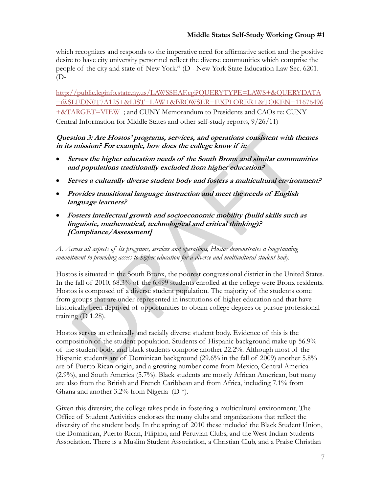which recognizes and responds to the imperative need for affirmative action and the positive desire to have city university personnel reflect the diverse communities which comprise the people of the city and state of New York." (D - New York State Education Law Sec. 6201. (D-

http://public.leginfo.state.ny.us/LAWSSEAF.cgi?QUERYTYPE=LAWS+&QUERYDATA =@SLEDN0T7A125+&LIST=LAW+&BROWSER=EXPLORER+&TOKEN=11676496 +&TARGET=VIEW ; and CUNY Memorandum to Presidents and CAOs re: CUNY Central Information for Middle States and other self-study reports, 9/26/11)

# **Question 3: Are Hostos' programs, services, and operations consistent with themes in its mission? For example, how does the college know if it:**

- **Serves the higher education needs of the South Bronx and similar communities and populations traditionally excluded from higher education?**
- **Serves a culturally diverse student body and fosters a multicultural environment?**
- **Provides transitional language instruction and meet the needs of English language learners?**
- **Fosters intellectual growth and socioeconomic mobility (build skills such as linguistic, mathematical, technological and critical thinking)? [Compliance/Assessment]**

*A. Across all aspects of its programs, services and operations, Hostos demonstrates a longstanding commitment to providing access to higher education for a diverse and multicultural student body.* 

Hostos is situated in the South Bronx, the poorest congressional district in the United States. In the fall of 2010, 68.3% of the 6,499 students enrolled at the college were Bronx residents. Hostos is composed of a diverse student population. The majority of the students come from groups that are under-represented in institutions of higher education and that have historically been deprived of opportunities to obtain college degrees or pursue professional training (D 1.28).

Hostos serves an ethnically and racially diverse student body. Evidence of this is the composition of the student population. Students of Hispanic background make up 56.9% of the student body, and black students compose another 22.2%. Although most of the Hispanic students are of Dominican background (29.6% in the fall of 2009) another 5.8% are of Puerto Rican origin, and a growing number come from Mexico, Central America (2.9%), and South America (5.7%). Black students are mostly African American, but many are also from the British and French Caribbean and from Africa, including 7.1% from Ghana and another 3.2% from Nigeria  $(D^*)$ .

Given this diversity, the college takes pride in fostering a multicultural environment. The Office of Student Activities endorses the many clubs and organizations that reflect the diversity of the student body. In the spring of 2010 these included the Black Student Union, the Dominican, Puerto Rican, Filipino, and Peruvian Clubs, and the West Indian Students Association. There is a Muslim Student Association, a Christian Club, and a Praise Christian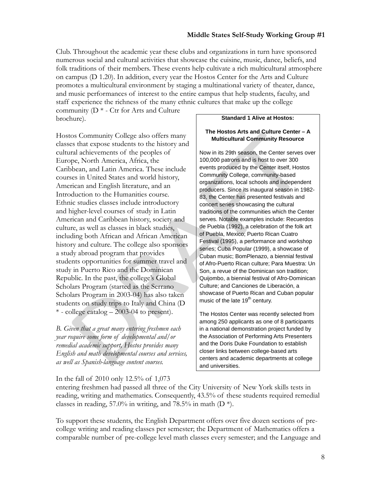Club. Throughout the academic year these clubs and organizations in turn have sponsored numerous social and cultural activities that showcase the cuisine, music, dance, beliefs, and folk traditions of their members. These events help cultivate a rich multicultural atmosphere on campus (D 1.20). In addition, every year the Hostos Center for the Arts and Culture promotes a multicultural environment by staging a multinational variety of theater, dance, and music performances of interest to the entire campus that help students, faculty, and staff experience the richness of the many ethnic cultures that make up the college

community (D \* - Ctr for Arts and Culture brochure).

Hostos Community College also offers many classes that expose students to the history and cultural achievements of the peoples of Europe, North America, Africa, the Caribbean, and Latin America. These include courses in United States and world history, American and English literature, and an Introduction to the Humanities course. Ethnic studies classes include introductory and higher-level courses of study in Latin American and Caribbean history, society and culture, as well as classes in black studies, including both African and African American history and culture. The college also sponsors a study abroad program that provides students opportunities for summer travel and study in Puerto Rico and the Dominican Republic. In the past, the college's Global Scholars Program (started as the Serrano Scholars Program in 2003-04) has also taken students on study trips to Italy and China (D  $*$  - college catalog  $-2003-04$  to present).

*B. Given that a great many entering freshmen each year require some form of developmental and/or remedial academic support, Hostos provides many English and math developmental courses and services, as well as Spanish-language content courses.* 

#### **Standard 1 Alive at Hostos:**

#### **The Hostos Arts and Culture Center – A Multicultural Community Resource**

Now in its 29th season, the Center serves over 100,000 patrons and is host to over 300 events produced by the Center itself, Hostos Community College, community-based organizations, local schools and independent producers. Since its inaugural season in 1982- 83, the Center has presented festivals and concert series showcasing the cultural traditions of the communities which the Center serves. Notable examples include: Recuerdos de Puebla (1992), a celebration of the folk art of Puebla, Mexico; Puerto Rican Cuatro Festival (1995), a performance and workshop series; Cuba Popular (1999), a showcase of Cuban music; BomPlenazo, a biennial festival of Afro-Puerto Rican culture; Para Muestra: Un Son, a revue of the Dominican son tradition; Quijombo, a biennial festival of Afro-Dominican Culture; and Canciones de Liberación, a showcase of Puerto Rican and Cuban popular music of the late  $19<sup>th</sup>$  century.

The Hostos Center was recently selected from among 250 applicants as one of 8 participants in a national demonstration project funded by the Association of Performing Arts Presenters and the Doris Duke Foundation to establish closer links between college-based arts centers and academic departments at college and universities.

#### In the fall of 2010 only 12.5% of 1,073

entering freshmen had passed all three of the City University of New York skills tests in reading, writing and mathematics. Consequently, 43.5% of these students required remedial classes in reading, 57.0% in writing, and 78.5% in math  $(D^*)$ .

To support these students, the English Department offers over five dozen sections of precollege writing and reading classes per semester; the Department of Mathematics offers a comparable number of pre-college level math classes every semester; and the Language and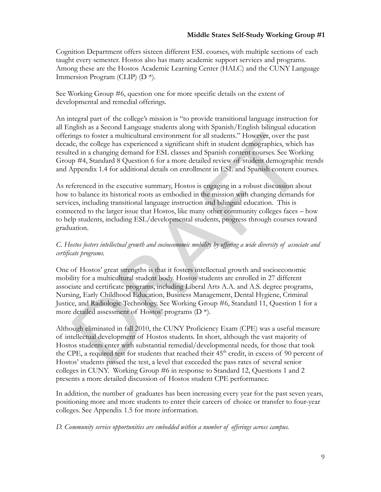Cognition Department offers sixteen different ESL courses, with multiple sections of each taught every semester. Hostos also has many academic support services and programs. Among these are the Hostos Academic Learning Center (HALC) and the CUNY Language Immersion Program (CLIP) (D \*).

See Working Group #6, question one for more specific details on the extent of developmental and remedial offerings.

An integral part of the college's mission is "to provide transitional language instruction for all English as a Second Language students along with Spanish/English bilingual education offerings to foster a multicultural environment for all students." However, over the past decade, the college has experienced a significant shift in student demographics, which has resulted in a changing demand for ESL classes and Spanish content courses. See Working Group #4, Standard 8 Question 6 for a more detailed review of student demographic trends and Appendix 1.4 for additional details on enrollment in ESL and Spanish content courses.

As referenced in the executive summary, Hostos is engaging in a robust discussion about how to balance its historical roots as embodied in the mission with changing demands for services, including transitional language instruction and bilingual education. This is connected to the larger issue that Hostos, like many other community colleges faces – how to help students, including ESL/developmental students, progress through courses toward graduation.

# *C. Hostos fosters intellectual growth and socioeconomic mobility by offering a wide diversity of associate and certificate programs.*

One of Hostos' great strengths is that it fosters intellectual growth and socioeconomic mobility for a multicultural student body. Hostos students are enrolled in 27 different associate and certificate programs, including Liberal Arts A.A. and A.S. degree programs, Nursing, Early Childhood Education, Business Management, Dental Hygiene, Criminal Justice, and Radiologic Technology. See Working Group #6, Standard 11, Question 1 for a more detailed assessment of Hostos' programs (D \*).

Although eliminated in fall 2010, the CUNY Proficiency Exam (CPE) was a useful measure of intellectual development of Hostos students. In short, although the vast majority of Hostos students enter with substantial remedial/developmental needs, for those that took the CPE, a required test for students that reached their  $45<sup>th</sup>$  credit, in excess of 90 percent of Hostos' students passed the test, a level that exceeded the pass rates of several senior colleges in CUNY. Working Group #6 in response to Standard 12, Questions 1 and 2 presents a more detailed discussion of Hostos student CPE performance.

In addition, the number of graduates has been increasing every year for the past seven years, positioning more and more students to enter their careers of choice or transfer to four-year colleges. See Appendix 1.5 for more information.

*D. Community service opportunities are embedded within a number of offerings across campus.*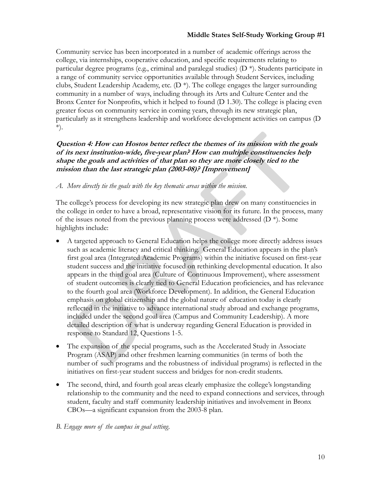Community service has been incorporated in a number of academic offerings across the college, via internships, cooperative education, and specific requirements relating to particular degree programs (e.g., criminal and paralegal studies) (D \*). Students participate in a range of community service opportunities available through Student Services, including clubs, Student Leadership Academy, etc.  $(D^*)$ . The college engages the larger surrounding community in a number of ways, including through its Arts and Culture Center and the Bronx Center for Nonprofits, which it helped to found (D 1.30). The college is placing even greater focus on community service in coming years, through its new strategic plan, particularly as it strengthens leadership and workforce development activities on campus (D \*).

# **Question 4: How can Hostos better reflect the themes of its mission with the goals of its next institution-wide, five-year plan? How can multiple constituencies help shape the goals and activities of that plan so they are more closely tied to the mission than the last strategic plan (2003-08)? [Improvement]**

# *A. More directly tie the goals with the key thematic areas within the mission.*

The college's process for developing its new strategic plan drew on many constituencies in the college in order to have a broad, representative vision for its future. In the process, many of the issues noted from the previous planning process were addressed  $(D^*)$ . Some highlights include:

- A targeted approach to General Education helps the college more directly address issues such as academic literacy and critical thinking. General Education appears in the plan's first goal area (Integrated Academic Programs) within the initiative focused on first-year student success and the initiative focused on rethinking developmental education. It also appears in the third goal area (Culture of Continuous Improvement), where assessment of student outcomes is clearly tied to General Education proficiencies, and has relevance to the fourth goal area (Workforce Development). In addition, the General Education emphasis on global citizenship and the global nature of education today is clearly reflected in the initiative to advance international study abroad and exchange programs, included under the second goal area (Campus and Community Leadership). A more detailed description of what is underway regarding General Education is provided in response to Standard 12, Questions 1-5.
- The expansion of the special programs, such as the Accelerated Study in Associate Program (ASAP) and other freshmen learning communities (in terms of both the number of such programs and the robustness of individual programs) is reflected in the initiatives on first-year student success and bridges for non-credit students.
- The second, third, and fourth goal areas clearly emphasize the college's longstanding relationship to the community and the need to expand connections and services, through student, faculty and staff community leadership initiatives and involvement in Bronx CBOs—a significant expansion from the 2003-8 plan.

## *B. Engage more of the campus in goal setting.*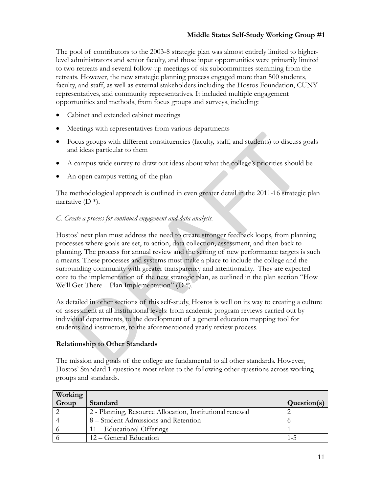The pool of contributors to the 2003-8 strategic plan was almost entirely limited to higherlevel administrators and senior faculty, and those input opportunities were primarily limited to two retreats and several follow-up meetings of six subcommittees stemming from the retreats. However, the new strategic planning process engaged more than 500 students, faculty, and staff, as well as external stakeholders including the Hostos Foundation, CUNY representatives, and community representatives. It included multiple engagement opportunities and methods, from focus groups and surveys, including:

- Cabinet and extended cabinet meetings
- Meetings with representatives from various departments
- Focus groups with different constituencies (faculty, staff, and students) to discuss goals and ideas particular to them
- A campus-wide survey to draw out ideas about what the college's priorities should be
- An open campus vetting of the plan

The methodological approach is outlined in even greater detail in the 2011-16 strategic plan narrative  $(D^*)$ .

## *C. Create a process for continued engagement and data analysis.*

Hostos' next plan must address the need to create stronger feedback loops, from planning processes where goals are set, to action, data collection, assessment, and then back to planning. The process for annual review and the setting of new performance targets is such a means. These processes and systems must make a place to include the college and the surrounding community with greater transparency and intentionality. They are expected core to the implementation of the new strategic plan, as outlined in the plan section "How We'll Get There – Plan Implementation" ( $D^*$ ).

As detailed in other sections of this self-study, Hostos is well on its way to creating a culture of assessment at all institutional levels: from academic program reviews carried out by individual departments, to the development of a general education mapping tool for students and instructors, to the aforementioned yearly review process.

## **Relationship to Other Standards**

The mission and goals of the college are fundamental to all other standards. However, Hostos' Standard 1 questions most relate to the following other questions across working groups and standards.

| Working |                                                          |             |
|---------|----------------------------------------------------------|-------------|
| Group   | Standard                                                 | Question(s) |
|         | 2 - Planning, Resource Allocation, Institutional renewal |             |
|         | 8 – Student Admissions and Retention                     |             |
|         | 11 – Educational Offerings                               |             |
|         | 12 – General Education                                   |             |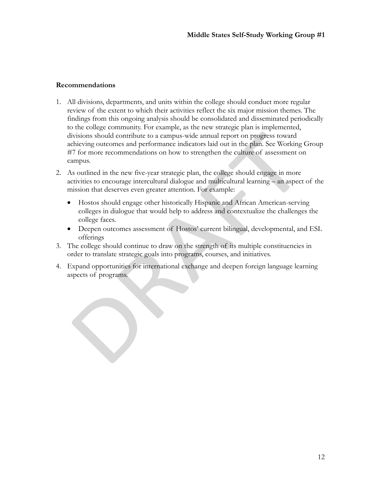#### **Recommendations**

- 1. All divisions, departments, and units within the college should conduct more regular review of the extent to which their activities reflect the six major mission themes. The findings from this ongoing analysis should be consolidated and disseminated periodically to the college community. For example, as the new strategic plan is implemented, divisions should contribute to a campus-wide annual report on progress toward achieving outcomes and performance indicators laid out in the plan. See Working Group #7 for more recommendations on how to strengthen the culture of assessment on campus.
- 2. As outlined in the new five-year strategic plan, the college should engage in more activities to encourage intercultural dialogue and multicultural learning – an aspect of the mission that deserves even greater attention. For example:
	- Hostos should engage other historically Hispanic and African American-serving colleges in dialogue that would help to address and contextualize the challenges the college faces.
	- Deepen outcomes assessment of Hostos' current bilingual, developmental, and ESL offerings
- 3. The college should continue to draw on the strength of its multiple constituencies in order to translate strategic goals into programs, courses, and initiatives.
- 4. Expand opportunities for international exchange and deepen foreign language learning aspects of programs.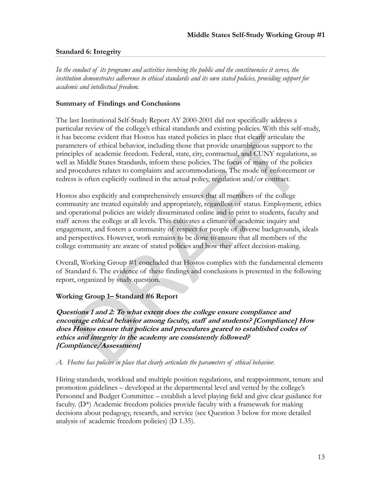# **Standard 6: Integrity**

*In the conduct of its programs and activities involving the public and the constituencies it serves, the institution demonstrates adherence to ethical standards and its own stated policies, providing support for academic and intellectual freedom.* 

#### **Summary of Findings and Conclusions**

The last Institutional Self-Study Report AY 2000-2001 did not specifically address a particular review of the college's ethical standards and existing policies. With this self-study, it has become evident that Hostos has stated policies in place that clearly articulate the parameters of ethical behavior, including those that provide unambiguous support to the principles of academic freedom. Federal, state, city, contractual, and CUNY regulations, as well as Middle States Standards, inform these policies. The focus of many of the policies and procedures relates to complaints and accommodations. The mode of enforcement or redress is often explicitly outlined in the actual policy, regulation and/or contract.

Hostos also explicitly and comprehensively ensures that all members of the college community are treated equitably and appropriately, regardless of status. Employment, ethics and operational policies are widely disseminated online and in print to students, faculty and staff across the college at all levels. This cultivates a climate of academic inquiry and engagement, and fosters a community of respect for people of diverse backgrounds, ideals and perspectives. However, work remains to be done to ensure that all members of the college community are aware of stated policies and how they affect decision-making.

Overall, Working Group #1 concluded that Hostos complies with the fundamental elements of Standard 6. The evidence of these findings and conclusions is presented in the following report, organized by study question.

## **Working Group 1– Standard #6 Report**

**Questions 1 and 2: To what extent does the college ensure compliance and encourage ethical behavior among faculty, staff and students? [Compliance] How does Hostos ensure that policies and procedures geared to established codes of ethics and integrity in the academy are consistently followed? [Compliance/Assessment]** 

#### *A. Hostos has policies in place that clearly articulate the parameters of ethical behavior.*

Hiring standards, workload and multiple position regulations, and reappointment, tenure and promotion guidelines – developed at the departmental level and vetted by the college's Personnel and Budget Committee – establish a level playing field and give clear guidance for faculty.  $(D^*)$  Academic freedom policies provide faculty with a framework for making decisions about pedagogy, research, and service (see Question 3 below for more detailed analysis of academic freedom policies) (D 1.35).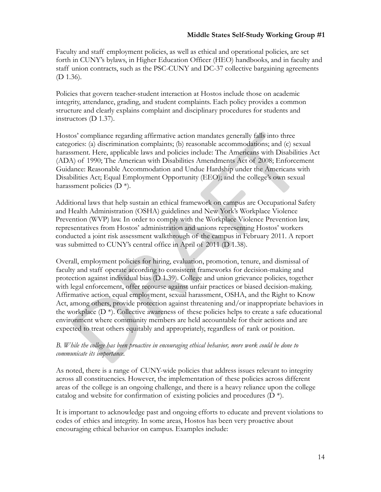Faculty and staff employment policies, as well as ethical and operational policies, are set forth in CUNY's bylaws, in Higher Education Officer (HEO) handbooks, and in faculty and staff union contracts, such as the PSC-CUNY and DC-37 collective bargaining agreements (D 1.36).

Policies that govern teacher-student interaction at Hostos include those on academic integrity, attendance, grading, and student complaints. Each policy provides a common structure and clearly explains complaint and disciplinary procedures for students and instructors (D 1.37).

Hostos' compliance regarding affirmative action mandates generally falls into three categories: (a) discrimination complaints; (b) reasonable accommodations; and (c) sexual harassment. Here, applicable laws and policies include: The Americans with Disabilities Act (ADA) of 1990; The American with Disabilities Amendments Act of 2008; Enforcement Guidance: Reasonable Accommodation and Undue Hardship under the Americans with Disabilities Act; Equal Employment Opportunity (EEO); and the college's own sexual harassment policies (D \*).

Additional laws that help sustain an ethical framework on campus are Occupational Safety and Health Administration (OSHA) guidelines and New York's Workplace Violence Prevention (WVP) law. In order to comply with the Workplace Violence Prevention law, representatives from Hostos' administration and unions representing Hostos' workers conducted a joint risk assessment walkthrough of the campus in February 2011. A report was submitted to CUNY's central office in April of 2011 (D 1.38).

Overall, employment policies for hiring, evaluation, promotion, tenure, and dismissal of faculty and staff operate according to consistent frameworks for decision-making and protection against individual bias (D 1.39). College and union grievance policies, together with legal enforcement, offer recourse against unfair practices or biased decision-making. Affirmative action, equal employment, sexual harassment, OSHA, and the Right to Know Act, among others, provide protection against threatening and/or inappropriate behaviors in the workplace  $(D^*)$ . Collective awareness of these policies helps to create a safe educational environment where community members are held accountable for their actions and are expected to treat others equitably and appropriately, regardless of rank or position.

# *B. While the college has been proactive in encouraging ethical behavior, more work could be done to communicate its importance.*

As noted, there is a range of CUNY-wide policies that address issues relevant to integrity across all constituencies. However, the implementation of these policies across different areas of the college is an ongoing challenge, and there is a heavy reliance upon the college catalog and website for confirmation of existing policies and procedures (D \*).

It is important to acknowledge past and ongoing efforts to educate and prevent violations to codes of ethics and integrity. In some areas, Hostos has been very proactive about encouraging ethical behavior on campus. Examples include: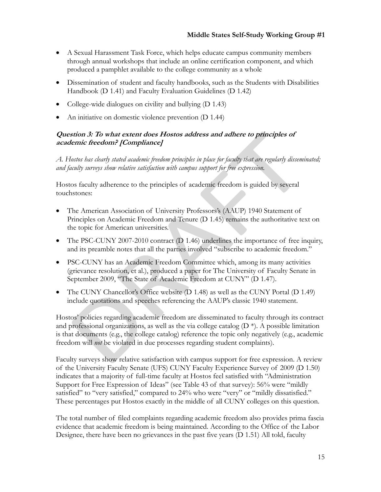- A Sexual Harassment Task Force, which helps educate campus community members through annual workshops that include an online certification component, and which produced a pamphlet available to the college community as a whole
- Dissemination of student and faculty handbooks, such as the Students with Disabilities Handbook (D 1.41) and Faculty Evaluation Guidelines (D 1.42)
- College-wide dialogues on civility and bullying (D 1.43)
- An initiative on domestic violence prevention (D 1.44)

# **Question 3: To what extent does Hostos address and adhere to principles of academic freedom? [Compliance]**

*A. Hostos has clearly stated academic freedom principles in place for faculty that are regularly disseminated; and faculty surveys show relative satisfaction with campus support for free expression.* 

Hostos faculty adherence to the principles of academic freedom is guided by several touchstones:

- The American Association of University Professors's (AAUP) 1940 Statement of Principles on Academic Freedom and Tenure (D 1.45) remains the authoritative text on the topic for American universities.
- The PSC-CUNY 2007-2010 contract (D 1.46) underlines the importance of free inquiry, and its preamble notes that all the parties involved "subscribe to academic freedom."
- PSC-CUNY has an Academic Freedom Committee which, among its many activities (grievance resolution, et al.), produced a paper for The University of Faculty Senate in September 2009, "The State of Academic Freedom at CUNY" (D 1.47).
- The CUNY Chancellor's Office website (D 1.48) as well as the CUNY Portal (D 1.49) include quotations and speeches referencing the AAUP's classic 1940 statement.

Hostos' policies regarding academic freedom are disseminated to faculty through its contract and professional organizations, as well as the via college catalog  $(D^*)$ . A possible limitation is that documents (e.g., the college catalog) reference the topic only negatively (e.g., academic freedom will *not* be violated in due processes regarding student complaints).

Faculty surveys show relative satisfaction with campus support for free expression. A review of the University Faculty Senate (UFS) CUNY Faculty Experience Survey of 2009 (D 1.50) indicates that a majority of full-time faculty at Hostos feel satisfied with "Administration Support for Free Expression of Ideas" (see Table 43 of that survey): 56% were "mildly satisfied" to "very satisfied," compared to 24% who were "very" or "mildly dissatisfied." These percentages put Hostos exactly in the middle of all CUNY colleges on this question.

The total number of filed complaints regarding academic freedom also provides prima fascia evidence that academic freedom is being maintained. According to the Office of the Labor Designee, there have been no grievances in the past five years (D 1.51) All told, faculty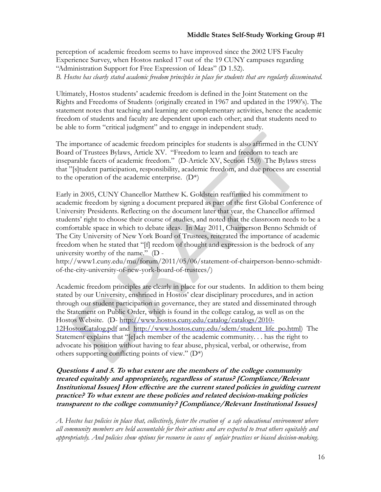perception of academic freedom seems to have improved since the 2002 UFS Faculty Experience Survey, when Hostos ranked 17 out of the 19 CUNY campuses regarding "Administration Support for Free Expression of Ideas" (D 1.52). *B. Hostos has clearly stated academic freedom principles in place for students that are regularly disseminated.* 

Ultimately, Hostos students' academic freedom is defined in the Joint Statement on the Rights and Freedoms of Students (originally created in 1967 and updated in the 1990's). The statement notes that teaching and learning are complementary activities, hence the academic freedom of students and faculty are dependent upon each other; and that students need to be able to form "critical judgment" and to engage in independent study.

The importance of academic freedom principles for students is also affirmed in the CUNY Board of Trustees Bylaws, Article XV. "Freedom to learn and freedom to teach are inseparable facets of academic freedom." (D-Article XV, Section 15.0) The Bylaws stress that "[s]tudent participation, responsibility, academic freedom, and due process are essential to the operation of the academic enterprise.  $(D^*)$ 

Early in 2005, CUNY Chancellor Matthew K. Goldstein reaffirmed his commitment to academic freedom by signing a document prepared as part of the first Global Conference of University Presidents. Reflecting on the document later that year, the Chancellor affirmed students' right to choose their course of studies, and noted that the classroom needs to be a comfortable space in which to debate ideas. In May 2011, Chairperson Benno Schmidt of The City University of New York Board of Trustees, reiterated the importance of academic freedom when he stated that "[f] reedom of thought and expression is the bedrock of any university worthy of the name." (D -

http://www1.cuny.edu/mu/forum/2011/05/06/statement-of-chairperson-benno-schmidtof-the-city-university-of-new-york-board-of-trustees/)

Academic freedom principles are clearly in place for our students. In addition to them being stated by our University, enshrined in Hostos' clear disciplinary procedures, and in action through our student participation in governance, they are stated and disseminated through the Statement on Public Order, which is found in the college catalog, as well as on the Hostos Website. (D- http://www.hostos.cuny.edu/catalog/catalogs/2010- 12HostosCatalog.pdf and http://www.hostos.cuny.edu/sdem/student\_life\_po.html) The Statement explains that "[e]ach member of the academic community. . . has the right to advocate his position without having to fear abuse, physical, verbal, or otherwise, from others supporting conflicting points of view." (D\*)

# **Questions 4 and 5. To what extent are the members of the college community treated equitably and appropriately, regardless of status? [Compliance/Relevant Institutional Issues] How effective are the current stated policies in guiding current practice? To what extent are these policies and related decision-making policies transparent to the college community? [Compliance/Relevant Institutional Issues]**

*A. Hostos has policies in place that, collectively, foster the creation of a safe educational environment where all community members are held accountable for their actions and are expected to treat others equitably and appropriately. And policies show options for recourse in cases of unfair practices or biased decision-making.*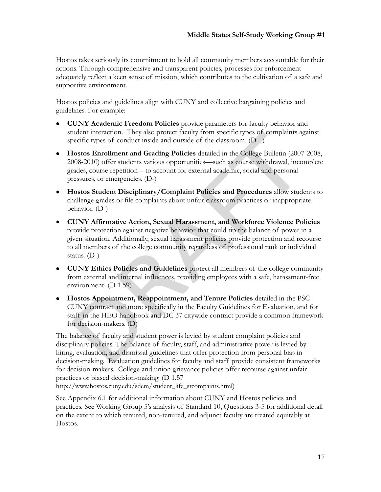Hostos takes seriously its commitment to hold all community members accountable for their actions. Through comprehensive and transparent policies, processes for enforcement adequately reflect a keen sense of mission, which contributes to the cultivation of a safe and supportive environment.

Hostos policies and guidelines align with CUNY and collective bargaining policies and guidelines. For example:

- **CUNY Academic Freedom Policies** provide parameters for faculty behavior and student interaction. They also protect faculty from specific types of complaints against specific types of conduct inside and outside of the classroom.  $(D - )$
- **Hostos Enrollment and Grading Policies** detailed in the College Bulletin (2007-2008, 2008-2010) offer students various opportunities—such as course withdrawal, incomplete grades, course repetition—to account for external academic, social and personal pressures, or emergencies. (D-)
- **Hostos Student Disciplinary/Complaint Policies and Procedures** allow students to challenge grades or file complaints about unfair classroom practices or inappropriate behavior. (D-)
- **CUNY Affirmative Action, Sexual Harassment, and Workforce Violence Policies** provide protection against negative behavior that could tip the balance of power in a given situation. Additionally, sexual harassment policies provide protection and recourse to all members of the college community regardless of professional rank or individual status. (D-)
- **CUNY Ethics Policies and Guidelines** protect all members of the college community from external and internal influences, providing employees with a safe, harassment-free environment. (D 1.59)
- **Hostos Appointment, Reappointment, and Tenure Policies** detailed in the PSC-CUNY contract and more specifically in the Faculty Guidelines for Evaluation, and for staff in the HEO handbook and DC 37 citywide contract provide a common framework for decision-makers. (D)

The balance of faculty and student power is levied by student complaint policies and disciplinary policies. The balance of faculty, staff, and administrative power is levied by hiring, evaluation, and dismissal guidelines that offer protection from personal bias in decision-making. Evaluation guidelines for faculty and staff provide consistent frameworks for decision-makers. College and union grievance policies offer recourse against unfair practices or biased decision-making. (D 1.57

http://www.hostos.cuny.edu/sdem/student\_life\_stcompaints.html)

See Appendix 6.1 for additional information about CUNY and Hostos policies and practices. See Working Group 5's analysis of Standard 10, Questions 3-5 for additional detail on the extent to which tenured, non-tenured, and adjunct faculty are treated equitably at Hostos.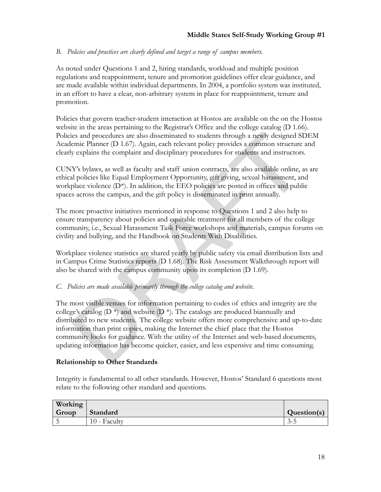# *B. Policies and practices are clearly defined and target a range of campus members.*

As noted under Questions 1 and 2, hiring standards, workload and multiple position regulations and reappointment, tenure and promotion guidelines offer clear guidance, and are made available within individual departments. In 2004, a portfolio system was instituted, in an effort to have a clear, non-arbitrary system in place for reappointment, tenure and promotion.

Policies that govern teacher-student interaction at Hostos are available on the on the Hostos website in the areas pertaining to the Registrar's Office and the college catalog (D 1.66). Policies and procedures are also disseminated to students through a newly designed SDEM Academic Planner (D 1.67). Again, each relevant policy provides a common structure and clearly explains the complaint and disciplinary procedures for students and instructors.

CUNY's bylaws, as well as faculty and staff union contracts, are also available online, as are ethical policies like Equal Employment Opportunity, gift giving, sexual harassment, and workplace violence (D<sup>\*</sup>). In addition, the EEO policies are posted in offices and public spaces across the campus, and the gift policy is disseminated in print annually.

The more proactive initiatives mentioned in response to Questions 1 and 2 also help to ensure transparency about policies and equitable treatment for all members of the college community, i.e., Sexual Harassment Task Force workshops and materials, campus forums on civility and bullying, and the Handbook on Students With Disabilities.

Workplace violence statistics are shared yearly by public safety via email distribution lists and in Campus Crime Statistics reports (D 1.68). The Risk Assessment Walkthrough report will also be shared with the campus community upon its completion (D 1.69).

## *C. Policies are made available primarily through the college catalog and website.*

The most visible venues for information pertaining to codes of ethics and integrity are the college's catalog ( $D^*$ ) and website ( $D^*$ ). The catalogs are produced biannually and distributed to new students. The college website offers more comprehensive and up-to-date information than print copies, making the Internet the chief place that the Hostos community looks for guidance. With the utility of the Internet and web-based documents, updating information has become quicker, easier, and less expensive and time consuming.

## **Relationship to Other Standards**

Integrity is fundamental to all other standards. However, Hostos' Standard 6 questions most relate to the following other standard and questions.

| Working |              |                     |
|---------|--------------|---------------------|
| Group   | Standard     | Question(s)         |
|         | 10 - Faculty | $\sim$<br>́<br>.J-J |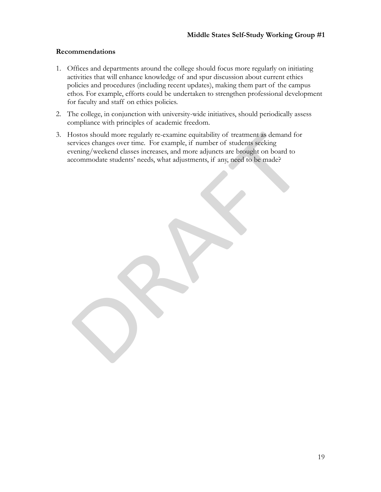#### **Recommendations**

- 1. Offices and departments around the college should focus more regularly on initiating activities that will enhance knowledge of and spur discussion about current ethics policies and procedures (including recent updates), making them part of the campus ethos. For example, efforts could be undertaken to strengthen professional development for faculty and staff on ethics policies.
- 2. The college, in conjunction with university-wide initiatives, should periodically assess compliance with principles of academic freedom.
- 3. Hostos should more regularly re-examine equitability of treatment as demand for services changes over time. For example, if number of students seeking evening/weekend classes increases, and more adjuncts are brought on board to accommodate students' needs, what adjustments, if any, need to be made?

19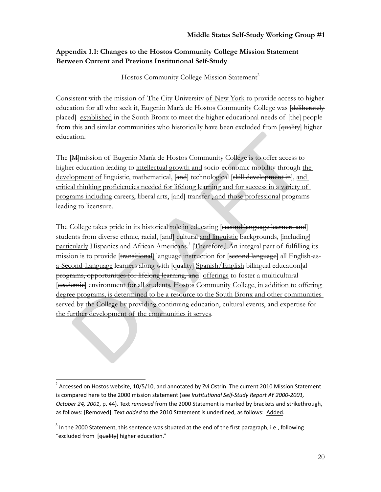# **Appendix 1.1: Changes to the Hostos Community College Mission Statement Between Current and Previous Institutional Self-Study**

Hostos Community College Mission Statement<sup>2</sup>

Consistent with the mission of The City University of New York to provide access to higher education for all who seek it, Eugenio María de Hostos Community College was [deliberately placed established in the South Bronx to meet the higher educational needs of [the] people from this and similar communities who historically have been excluded from [quality] higher education.

The [M]mission of Eugenio María de Hostos Community College is to offer access to higher education leading to intellectual growth and socio-economic mobility through the development of linguistic, mathematical, [and] technological [skill development in], and critical thinking proficiencies needed for lifelong learning and for success in a variety of programs including careers, liberal arts, [and] transfer , and those professional programs leading to licensure.

The College takes pride in its historical role in educating [second language learners and] students from diverse ethnic, racial, [and] cultural and linguistic backgrounds, [including] particularly Hispanics and African Americans.<sup>3</sup> [Therefore,] An integral part of fulfilling its mission is to provide [transitional] language instruction for [second language] all English-asa-Second-Language learners along with [quality] Spanish/English bilingual education[al] programs, opportunities for lifelong learning, and offerings to foster a multicultural [academic] environment for all students. Hostos Community College, in addition to offering degree programs, is determined to be a resource to the South Bronx and other communities served by the College by providing continuing education, cultural events, and expertise for the further development of the communities it serves.

 $^{2}$  Accessed on Hostos website, 10/5/10, and annotated by Zvi Ostrin. The current 2010 Mission Statement is compared here to the 2000 mission statement (see *Institutional Self‐Study Report AY 2000‐2001, October 24, 2001*, p. 44). Text *removed* from the 2000 Statement is marked by brackets and strikethrough, as follows: [Removed]. Text *added* to the 2010 Statement is underlined, as follows: Added.

 $3$  In the 2000 Statement, this sentence was situated at the end of the first paragraph, i.e., following "excluded from [quality] higher education."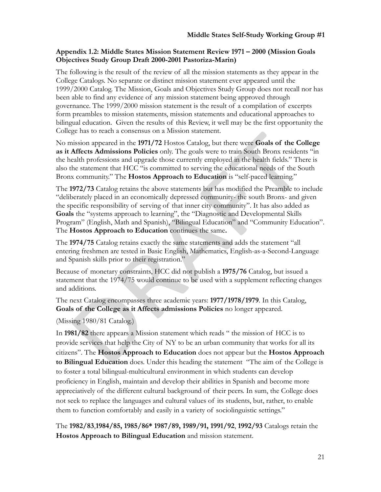# **Appendix 1.2: Middle States Mission Statement Review 1971 – 2000 (Mission Goals Objectives Study Group Draft 2000-2001 Pastoriza-Marin)**

The following is the result of the review of all the mission statements as they appear in the College Catalogs. No separate or distinct mission statement ever appeared until the 1999/2000 Catalog. The Mission, Goals and Objectives Study Group does not recall nor has been able to find any evidence of any mission statement being approved through governance. The 1999/2000 mission statement is the result of a compilation of excerpts form preambles to mission statements, mission statements and educational approaches to bilingual education. Given the results of this Review, it well may be the first opportunity the College has to reach a consensus on a Mission statement.

No mission appeared in the **1971/72** Hostos Catalog, but there were **Goals of the College as it Affects Admissions Policies** only. The goals were to train South Bronx residents "in the health professions and upgrade those currently employed in the health fields." There is also the statement that HCC "is committed to serving the educational needs of the South Bronx community." The **Hostos Approach to Education** is "self-paced learning."

The **1972/73** Catalog retains the above statements but has modified the Preamble to include "deliberately placed in an economically depressed community- the south Bronx- and given the specific responsibility of serving of that inner city community". It has also added as **Goals** the "systems approach to learning", the "Diagnostic and Developmental Skills Program" (English, Math and Spanish), "Bilingual Education" and "Community Education". The **Hostos Approach to Education** continues the same**.** 

The **1974/75** Catalog retains exactly the same statements and adds the statement "all entering freshmen are tested in Basic English, Mathematics, English-as-a-Second-Language and Spanish skills prior to their registration."

Because of monetary constraints, HCC did not publish a **1975/76** Catalog, but issued a statement that the 1974/75 would continue to be used with a supplement reflecting changes and additions.

The next Catalog encompasses three academic years: **1977/1978/1979**. In this Catalog, **Goals of the College as it Affects admissions Policies** no longer appeared.

(Missing 1980/81 Catalog.)

In **1981/82** there appears a Mission statement which reads " the mission of HCC is to provide services that help the City of NY to be an urban community that works for all its citizens". The **Hostos Approach to Education** does not appear but the **Hostos Approach to Bilingual Education** does. Under this heading the statement "The aim of the College is to foster a total bilingual-multicultural environment in which students can develop proficiency in English, maintain and develop their abilities in Spanish and become more appreciatively of the different cultural background of their peers. In sum, the College does not seek to replace the languages and cultural values of its students, but, rather, to enable them to function comfortably and easily in a variety of sociolinguistic settings."

The **1982/83**,**1984/85, 1985/86\* 1987/89, 1989/91, 1991/92**, **1992/93** Catalogs retain the **Hostos Approach to Bilingual Education** and mission statement.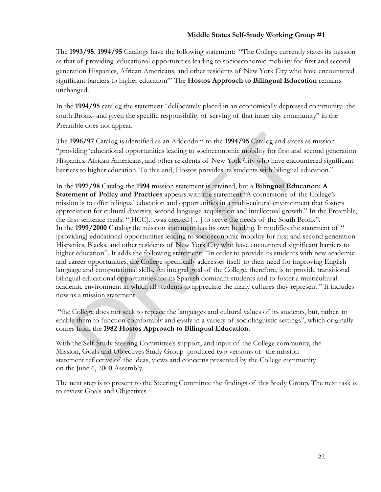The **1993/95**, **1994/95** Catalogs have the following statement: "The College currently states its mission as that of providing 'educational opportunities leading to socioeconomic mobility for first and second generation Hispanics, African Americans, and other residents of New York City who have encountered significant barriers to higher education'" The **Hostos Approach to Bilingual Education** remains unchanged.

In the **1994/95** catalog the statement "deliberately placed in an economically depressed community- the south Bronx- and given the specific responsibility of serving of that inner city community" in the Preamble does not appear.

The **1996/97** Catalog is identified as an Addendum to the **1994/95** Catalog and states as mission "providing 'educational opportunities leading to socioeconomic mobility for first and second generation Hispanics, African Americans, and other residents of New York City who have encountered significant barriers to higher education. To this end, Hostos provides its students with bilingual education."

In the **1997/98** Catalog the **1994** mission statement is retained, but a **Bilingual Education: A Statement of Policy and Practices** appears with the statement "A cornerstone of the College's mission is to offer bilingual education and opportunities in a multi-cultural environment that fosters appreciation for cultural diversity, second language acquisition and intellectual growth." In the Preamble, the first sentence reads: "[HCC]…was created […] to serve the needs of the South Bronx". In the **1999/2000** Catalog the mission statement has its own heading. It modifies the statement of " [providing] educational opportunities leading to socioeconomic mobility for first and second generation Hispanics, Blacks, and other residents of New York City who have encountered significant barriers to higher education". It adds the following statement: "In order to provide its students with new academic and career opportunities, the College specifically addresses itself to their need for improving English language and computational skills. An integral goal of the College, therefore, is to provide transitional bilingual educational opportunities for its Spanish dominant students and to foster a multicultural academic environment in which all students to appreciate the many cultures they represent." It includes now as a mission statement

 "the College does not seek to replace the languages and cultural values of its students, but, rather, to enable them to function comfortably and easily in a variety of sociolinguistic settings", which originally comes from the **1982 Hostos Approach to Bilingual Education.** 

With the Self-Study Steering Committee's support, and input of the College community, the Mission, Goals and Objectives Study Group produced two versions of the mission statement reflective of the ideas, views and concerns presented by the College community on the June 6, 2000 Assembly.

The next step is to present to the Steering Committee the findings of this Study Group. The next task is to review Goals and Objectives.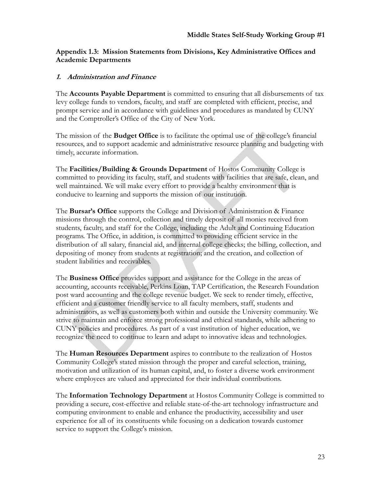# **Appendix 1.3: Mission Statements from Divisions, Key Administrative Offices and Academic Departments**

# **1. Administration and Finance**

The **Accounts Payable Department** is committed to ensuring that all disbursements of tax levy college funds to vendors, faculty, and staff are completed with efficient, precise, and prompt service and in accordance with guidelines and procedures as mandated by CUNY and the Comptroller's Office of the City of New York.

The mission of the **Budget Office** is to facilitate the optimal use of the college's financial resources, and to support academic and administrative resource planning and budgeting with timely, accurate information.

The **Facilities/Building & Grounds Department** of Hostos Community College is committed to providing its faculty, staff, and students with facilities that are safe, clean, and well maintained. We will make every effort to provide a healthy environment that is conducive to learning and supports the mission of our institution.

The **Bursar's Office** supports the College and Division of Administration & Finance missions through the control, collection and timely deposit of all monies received from students, faculty, and staff for the College, including the Adult and Continuing Education programs. The Office, in addition, is committed to providing efficient service in the distribution of all salary, financial aid, and internal college checks; the billing, collection, and depositing of money from students at registration; and the creation, and collection of student liabilities and receivables.

The **Business Office** provides support and assistance for the College in the areas of accounting, accounts receivable, Perkins Loan, TAP Certification, the Research Foundation post ward accounting and the college revenue budget. We seek to render timely, effective, efficient and a customer friendly service to all faculty members, staff, students and administrators, as well as customers both within and outside the University community. We strive to maintain and enforce strong professional and ethical standards, while adhering to CUNY policies and procedures. As part of a vast institution of higher education, we recognize the need to continue to learn and adapt to innovative ideas and technologies.

The **Human Resources Department** aspires to contribute to the realization of Hostos Community College's stated mission through the proper and careful selection, training, motivation and utilization of its human capital, and, to foster a diverse work environment where employees are valued and appreciated for their individual contributions.

The **Information Technology Department** at Hostos Community College is committed to providing a secure, cost-effective and reliable state-of-the-art technology infrastructure and computing environment to enable and enhance the productivity, accessibility and user experience for all of its constituents while focusing on a dedication towards customer service to support the College's mission.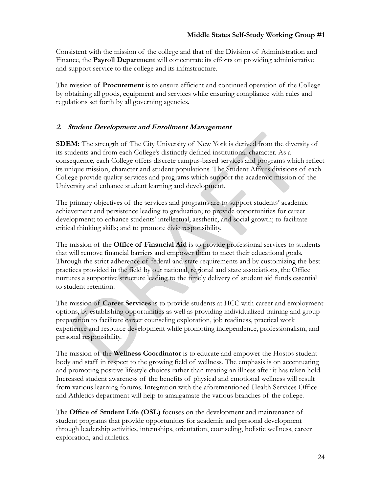Consistent with the mission of the college and that of the Division of Administration and Finance, the **Payroll Department** will concentrate its efforts on providing administrative and support service to the college and its infrastructure.

The mission of **Procurement** is to ensure efficient and continued operation of the College by obtaining all goods, equipment and services while ensuring compliance with rules and regulations set forth by all governing agencies.

# **2. Student Development and Enrollment Management**

**SDEM:** The strength of The City University of New York is derived from the diversity of its students and from each College's distinctly defined institutional character. As a consequence, each College offers discrete campus-based services and programs which reflect its unique mission, character and student populations. The Student Affairs divisions of each College provide quality services and programs which support the academic mission of the University and enhance student learning and development.

The primary objectives of the services and programs are to support students' academic achievement and persistence leading to graduation; to provide opportunities for career development; to enhance students' intellectual, aesthetic, and social growth; to facilitate critical thinking skills; and to promote civic responsibility.

The mission of the **Office of Financial Aid** is to provide professional services to students that will remove financial barriers and empower them to meet their educational goals. Through the strict adherence of federal and state requirements and by customizing the best practices provided in the field by our national, regional and state associations, the Office nurtures a supportive structure leading to the timely delivery of student aid funds essential to student retention.

The mission of **Career Services** is to provide students at HCC with career and employment options, by establishing opportunities as well as providing individualized training and group preparation to facilitate career counseling exploration, job readiness, practical work experience and resource development while promoting independence, professionalism, and personal responsibility.

The mission of the **Wellness Coordinator** is to educate and empower the Hostos student body and staff in respect to the growing field of wellness. The emphasis is on accentuating and promoting positive lifestyle choices rather than treating an illness after it has taken hold. Increased student awareness of the benefits of physical and emotional wellness will result from various learning forums. Integration with the aforementioned Health Services Office and Athletics department will help to amalgamate the various branches of the college.

The **Office of Student Life (OSL)** focuses on the development and maintenance of student programs that provide opportunities for academic and personal development through leadership activities, internships, orientation, counseling, holistic wellness, career exploration, and athletics.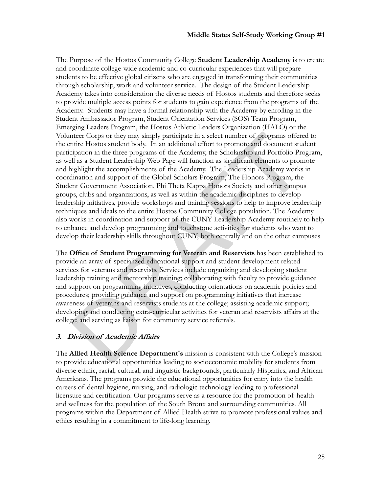The Purpose of the Hostos Community College **Student Leadership Academy** is to create and coordinate college-wide academic and co-curricular experiences that will prepare students to be effective global citizens who are engaged in transforming their communities through scholarship, work and volunteer service. The design of the Student Leadership Academy takes into consideration the diverse needs of Hostos students and therefore seeks to provide multiple access points for students to gain experience from the programs of the Academy. Students may have a formal relationship with the Academy by enrolling in the Student Ambassador Program, Student Orientation Services (SOS) Team Program, Emerging Leaders Program, the Hostos Athletic Leaders Organization (HALO) or the Volunteer Corps or they may simply participate in a select number of programs offered to the entire Hostos student body. In an additional effort to promote and document student participation in the three programs of the Academy, the Scholarship and Portfolio Program, as well as a Student Leadership Web Page will function as significant elements to promote and highlight the accomplishments of the Academy. The Leadership Academy works in coordination and support of the Global Scholars Program, The Honors Program, the Student Government Association, Phi Theta Kappa Honors Society and other campus groups, clubs and organizations, as well as within the academic disciplines to develop leadership initiatives, provide workshops and training sessions to help to improve leadership techniques and ideals to the entire Hostos Community College population. The Academy also works in coordination and support of the CUNY Leadership Academy routinely to help to enhance and develop programming and touchstone activities for students who want to develop their leadership skills throughout CUNY, both centrally and on the other campuses

The **Office of Student Programming for Veteran and Reservists** has been established to provide an array of specialized educational support and student development related services for veterans and reservists. Services include organizing and developing student leadership training and mentorship training; collaborating with faculty to provide guidance and support on programming initiatives, conducting orientations on academic policies and procedures; providing guidance and support on programming initiatives that increase awareness of veterans and reservists students at the college; assisting academic support; developing and conducting extra-curricular activities for veteran and reservists affairs at the college; and serving as liaison for community service referrals.

## **3. Division of Academic Affairs**

The **Allied Health Science Department's** mission is consistent with the College's mission to provide educational opportunities leading to socioeconomic mobility for students from diverse ethnic, racial, cultural, and linguistic backgrounds, particularly Hispanics, and African Americans. The programs provide the educational opportunities for entry into the health careers of dental hygiene, nursing, and radiologic technology leading to professional licensure and certification. Our programs serve as a resource for the promotion of health and wellness for the population of the South Bronx and surrounding communities. All programs within the Department of Allied Health strive to promote professional values and ethics resulting in a commitment to life-long learning.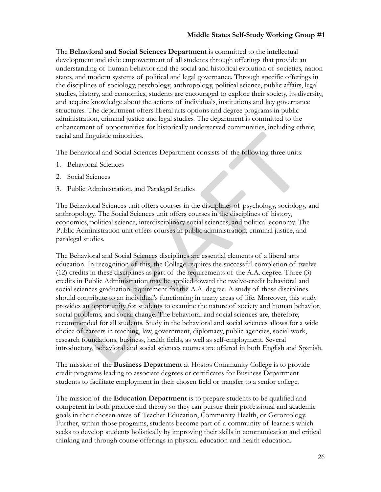The **Behavioral and Social Sciences Department** is committed to the intellectual development and civic empowerment of all students through offerings that provide an understanding of human behavior and the social and historical evolution of societies, nation states, and modern systems of political and legal governance. Through specific offerings in the disciplines of sociology, psychology, anthropology, political science, public affairs, legal studies, history, and economics, students are encouraged to explore their society, its diversity, and acquire knowledge about the actions of individuals, institutions and key governance structures. The department offers liberal arts options and degree programs in public administration, criminal justice and legal studies. The department is committed to the enhancement of opportunities for historically underserved communities, including ethnic, racial and linguistic minorities.

The Behavioral and Social Sciences Department consists of the following three units:

- 1. Behavioral Sciences
- 2. Social Sciences
- 3. Public Administration, and Paralegal Studies

The Behavioral Sciences unit offers courses in the disciplines of psychology, sociology, and anthropology. The Social Sciences unit offers courses in the disciplines of history, economics, political science, interdisciplinary social sciences, and political economy. The Public Administration unit offers courses in public administration, criminal justice, and paralegal studies.

The Behavioral and Social Sciences disciplines are essential elements of a liberal arts education. In recognition of this, the College requires the successful completion of twelve (12) credits in these disciplines as part of the requirements of the A.A. degree. Three (3) credits in Public Administration may be applied toward the twelve-credit behavioral and social sciences graduation requirement for the A.A. degree. A study of these disciplines should contribute to an individual's functioning in many areas of life. Moreover, this study provides an opportunity for students to examine the nature of society and human behavior, social problems, and social change. The behavioral and social sciences are, therefore, recommended for all students. Study in the behavioral and social sciences allows for a wide choice of careers in teaching, law, government, diplomacy, public agencies, social work, research foundations, business, health fields, as well as self-employment. Several introductory, behavioral and social sciences courses are offered in both English and Spanish.

The mission of the **Business Department** at Hostos Community College is to provide credit programs leading to associate degrees or certificates for Business Department students to facilitate employment in their chosen field or transfer to a senior college.

The mission of the **Education Department** is to prepare students to be qualified and competent in both practice and theory so they can pursue their professional and academic goals in their chosen areas of Teacher Education, Community Health, or Gerontology. Further, within those programs, students become part of a community of learners which seeks to develop students holistically by improving their skills in communication and critical thinking and through course offerings in physical education and health education.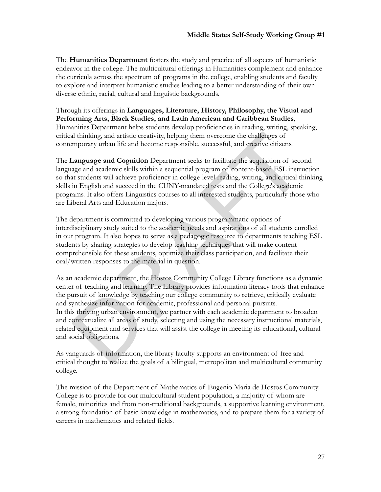The **Humanities Department** fosters the study and practice of all aspects of humanistic endeavor in the college. The multicultural offerings in Humanities complement and enhance the curricula across the spectrum of programs in the college, enabling students and faculty to explore and interpret humanistic studies leading to a better understanding of their own diverse ethnic, racial, cultural and linguistic backgrounds.

Through its offerings in **Languages, Literature, History, Philosophy, the Visual and Performing Arts, Black Studies, and Latin American and Caribbean Studies**, Humanities Department helps students develop proficiencies in reading, writing, speaking, critical thinking, and artistic creativity, helping them overcome the challenges of contemporary urban life and become responsible, successful, and creative citizens.

The **Language and Cognition** Department seeks to facilitate the acquisition of second language and academic skills within a sequential program of content-based ESL instruction so that students will achieve proficiency in college-level reading, writing, and critical thinking skills in English and succeed in the CUNY-mandated tests and the College's academic programs. It also offers Linguistics courses to all interested students, particularly those who are Liberal Arts and Education majors.

The department is committed to developing various programmatic options of interdisciplinary study suited to the academic needs and aspirations of all students enrolled in our program. It also hopes to serve as a pedagogic resource to departments teaching ESL students by sharing strategies to develop teaching techniques that will make content comprehensible for these students, optimize their class participation, and facilitate their oral/written responses to the material in question.

As an academic department, the Hostos Community College Library functions as a dynamic center of teaching and learning. The Library provides information literacy tools that enhance the pursuit of knowledge by teaching our college community to retrieve, critically evaluate and synthesize information for academic, professional and personal pursuits. In this thriving urban environment, we partner with each academic department to broaden and contextualize all areas of study, selecting and using the necessary instructional materials, related equipment and services that will assist the college in meeting its educational, cultural and social obligations.

As vanguards of information, the library faculty supports an environment of free and critical thought to realize the goals of a bilingual, metropolitan and multicultural community college.

The mission of the Department of Mathematics of Eugenio Maria de Hostos Community College is to provide for our multicultural student population, a majority of whom are female, minorities and from non-traditional backgrounds, a supportive learning environment, a strong foundation of basic knowledge in mathematics, and to prepare them for a variety of careers in mathematics and related fields.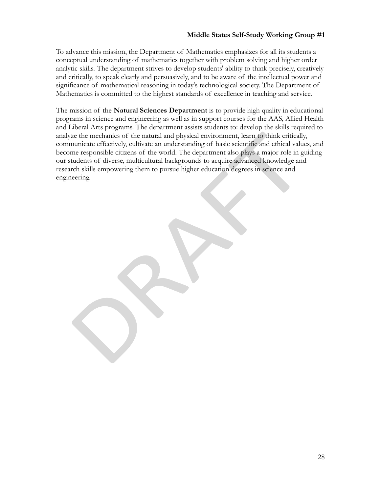To advance this mission, the Department of Mathematics emphasizes for all its students a conceptual understanding of mathematics together with problem solving and higher order analytic skills. The department strives to develop students' ability to think precisely, creatively and critically, to speak clearly and persuasively, and to be aware of the intellectual power and significance of mathematical reasoning in today's technological society. The Department of Mathematics is committed to the highest standards of excellence in teaching and service.

The mission of the **Natural Sciences Department** is to provide high quality in educational programs in science and engineering as well as in support courses for the AAS, Allied Health and Liberal Arts programs. The department assists students to: develop the skills required to analyze the mechanics of the natural and physical environment, learn to think critically, communicate effectively, cultivate an understanding of basic scientific and ethical values, and become responsible citizens of the world. The department also plays a major role in guiding our students of diverse, multicultural backgrounds to acquire advanced knowledge and research skills empowering them to pursue higher education degrees in science and engineering.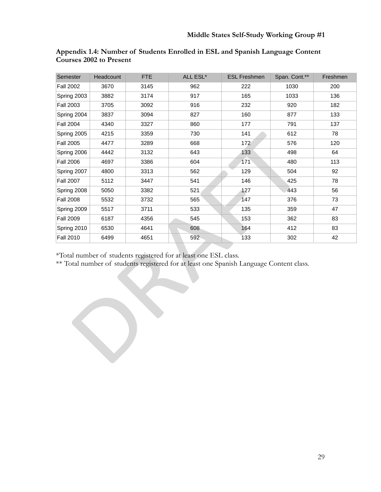| Semester         | Headcount | FTE  | ALL ESL* | <b>ESL Freshmen</b> | Span. Cont.** | Freshmen |
|------------------|-----------|------|----------|---------------------|---------------|----------|
| <b>Fall 2002</b> | 3670      | 3145 | 962      | 222                 | 1030          | 200      |
| Spring 2003      | 3882      | 3174 | 917      | 165                 | 1033          | 136      |
| <b>Fall 2003</b> | 3705      | 3092 | 916      | 232                 | 920           | 182      |
| Spring 2004      | 3837      | 3094 | 827      | 160                 | 877           | 133      |
| <b>Fall 2004</b> | 4340      | 3327 | 860      | 177                 | 791           | 137      |
| Spring 2005      | 4215      | 3359 | 730      | 141                 | 612           | 78       |
| <b>Fall 2005</b> | 4477      | 3289 | 668      | 172                 | 576           | 120      |
| Spring 2006      | 4442      | 3132 | 643      | 133                 | 498           | 64       |
| <b>Fall 2006</b> | 4697      | 3386 | 604      | 171                 | 480           | 113      |
| Spring 2007      | 4800      | 3313 | 562      | 129                 | 504           | 92       |
| <b>Fall 2007</b> | 5112      | 3447 | 541      | 146                 | 425           | 78       |
| Spring 2008      | 5050      | 3382 | 521      | 127                 | 443           | 56       |
| <b>Fall 2008</b> | 5532      | 3732 | 565      | 147                 | 376           | 73       |
| Spring 2009      | 5517      | 3711 | 533      | 135                 | 359           | 47       |
| <b>Fall 2009</b> | 6187      | 4356 | 545      | 153                 | 362           | 83       |
| Spring 2010      | 6530      | 4641 | 608      | 164                 | 412           | 83       |
| <b>Fall 2010</b> | 6499      | 4651 | 592      | 133                 | 302           | 42       |

| Appendix 1.4: Number of Students Enrolled in ESL and Spanish Language Content |  |  |  |
|-------------------------------------------------------------------------------|--|--|--|
| <b>Courses 2002 to Present</b>                                                |  |  |  |

\*Total number of students registered for at least one ESL class.

\*\* Total number of students registered for at least one Spanish Language Content class.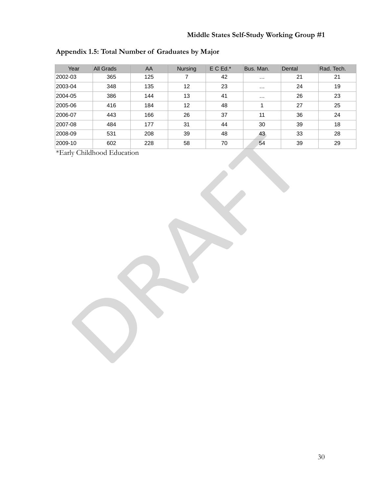| Year    | All Grads | AA  | <b>Nursing</b> | $E C Ed.*$ | Bus. Man. | Dental | Rad. Tech. |
|---------|-----------|-----|----------------|------------|-----------|--------|------------|
| 2002-03 | 365       | 125 |                | 42         | $\cdots$  | 21     | 21         |
| 2003-04 | 348       | 135 | 12             | 23         | $\cdots$  | 24     | 19         |
| 2004-05 | 386       | 144 | 13             | 41         | $\cdots$  | 26     | 23         |
| 2005-06 | 416       | 184 | 12             | 48         |           | 27     | 25         |
| 2006-07 | 443       | 166 | 26             | 37         | 11        | 36     | 24         |
| 2007-08 | 484       | 177 | 31             | 44         | 30        | 39     | 18         |
| 2008-09 | 531       | 208 | 39             | 48         | 43        | 33     | 28         |
| 2009-10 | 602       | 228 | 58             | 70         | 54        | 39     | 29         |

# **Appendix 1.5: Total Number of Graduates by Major**

\*Early Childhood Education